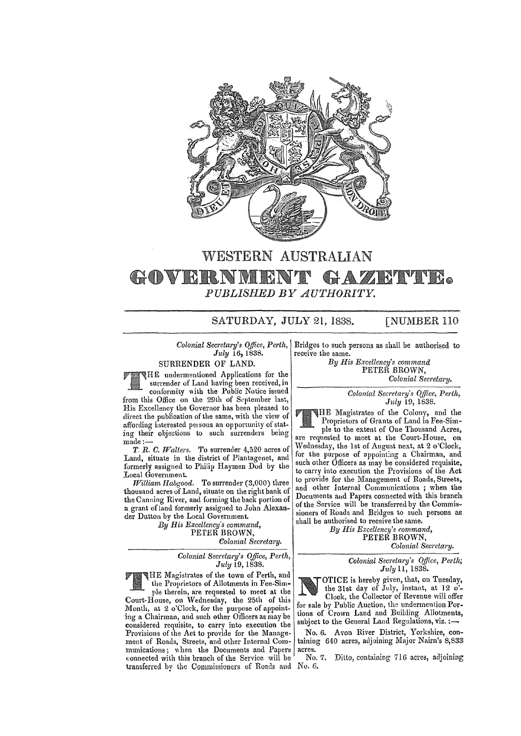

## WESTERN AUSTRALIAN **HOVERNME**  $H$  A *PUBLISJIED BY AUTHORITY.*

## SATURDAY, JULY 21, 1838. [NUMBER 110]

*July* 16,1838.

SURRENDER OF LAND.

HE undermentioned Applications for the surrender of Land having been received, in

conformity \lith the Public Notice issued from this Office on the 29th of September last His Excellency the Governor has been pleased to direct the publication of the same, with the view of affording interested persons an opportunity of stating their objections to such surrenders being made:-

*T. R. C. fValters. To* surrender 4,520 acres of Land, situate in the district of Plantagenet, and formerly assigned to Philip Haymen Dod by the Local Government.

*William Habgood.* To surrender (3,000) three thousand acres of Land, situate on the right bank of the Canning River, and forming the back portion of a grant of land formerly assigned to John Alexander Dutton by the Local Government.

*By His Excellency's command,*  PETER BROWN,

*Colonial Secretary.* 

*Colonial Secretary's Office, Perth, July* 19, 1838.

THE Magistrates of the town of Perth, and the Proprietors of Allotments in Fee-Sim-<br>ple therein, are requested to meet at the the Proprietors of Allotments in Fee-Sim-Court-House, on Wednesday, the 25th of this Month, at 2 o'Clock, for the purpose of appointing a Chairman, and such other Officers ae may be considered requisite, to carry into execution the Provisions of the Act to provide for the Management of Roads, Streets, and other Internal Communications; when the Documents and Papers connected with this branch of the Service will be transferred by the Commissioners of Roads and No. 6,

*Colonial Secretary's Office, Perth,*  Bridges to such persons as shall be authorised to receive the same.

*By His Excellency"s command*  PETER BROWN,

*Colonial Secretary.* 

*Colonial Secretary's Office, Perth, July 10, 1838.* 

HE Magistrates of the Colony, and the Proprietors of Grants of Land in Fee-Simple to the extent of One Thousand Acres,

are requested to meet at the Court-House, on Wednesday, the 1st of August next, at 2 o'Clock, for the purpose of appointing a Chairman, and such other Officers as may be considered requisite, to carry mto execution the Provisions of the Act to provide for the Management of Roads, Streets, and other Internal Communications ; when the Documents aud Papers connected with this branch of the Service will be transferred by the Commissioners of Roads and Bridges to such persons as shall be authorised to receive the same.

By His Excellency's command, PETER BROWN,

*Colonial Secretary.* 

*Colonial Secretary's Office, Perth; July* 11, 1838.

OTICE is hereby given, that, on Tuesday, the 31st day of July, instant, at 12 o'- Clock, the Collector of Revenue will offer for sale by Public Auction, the underrnention Portions of Crown Land and Building Allotments subject to the General Land Regulations, viz. **:-**'

No. 6. Avon River District, Yorkshire, containing 640 acres, adjoining Major Nairn's 8,833 acres.

No. 7. Ditto, containing 716 acres, adjoining